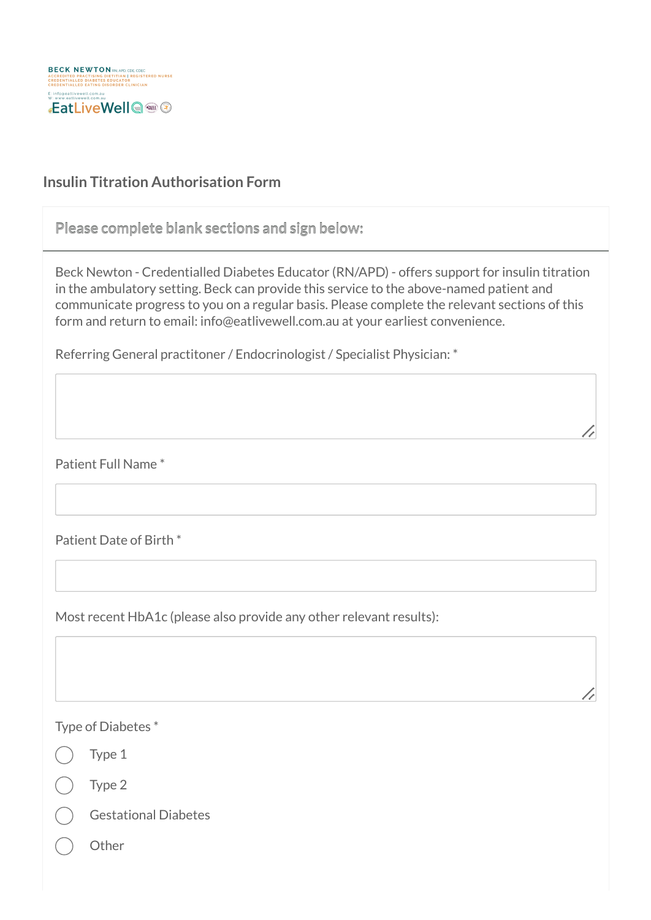

## **Insulin Titration Authorisation Form**

**Please complete blank sections and sign below:**

Beck Newton - Credentialled Diabetes Educator (RN/APD) - offers support for insulin titration in the ambulatory setting. Beck can provide this service to the above-named patient and communicate progress to you on a regular basis. Please complete the relevant sections of this form and return to email: info@eatlivewell.com.au at your earliest convenience.

//

Referring General practitoner / Endocrinologist / Specialist Physician: \*

Patient Full Name \*

Patient Date of Birth \*

Most recent HbA1c (please also provide any other relevant results):

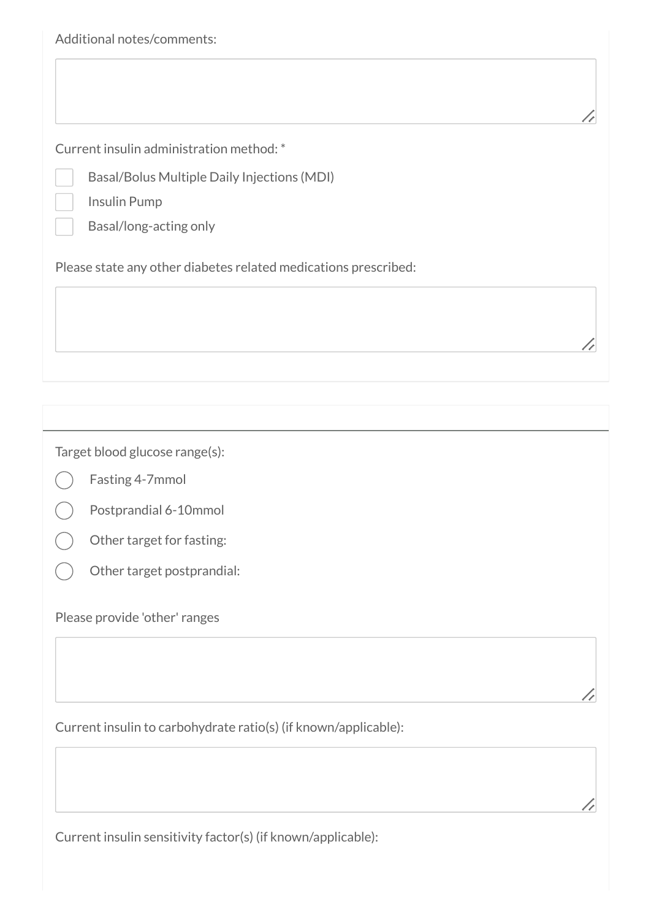|  |  | Additional notes/comments: |
|--|--|----------------------------|
|--|--|----------------------------|

Current insulin administration method: \*

Basal/Bolus Multiple Daily Injections (MDI)

Insulin Pump

Basal/long-acting only

Please state any other diabetes related medications prescribed:

Target blood glucose range(s):

- Fasting 4-7mmol
- Postprandial 6-10mmol
- Other target for fasting:
- Other target postprandial:

Please provide 'other' ranges

Current insulin to carbohydrate ratio(s) (if known/applicable):

Current insulin sensitivity factor(s) (if known/applicable):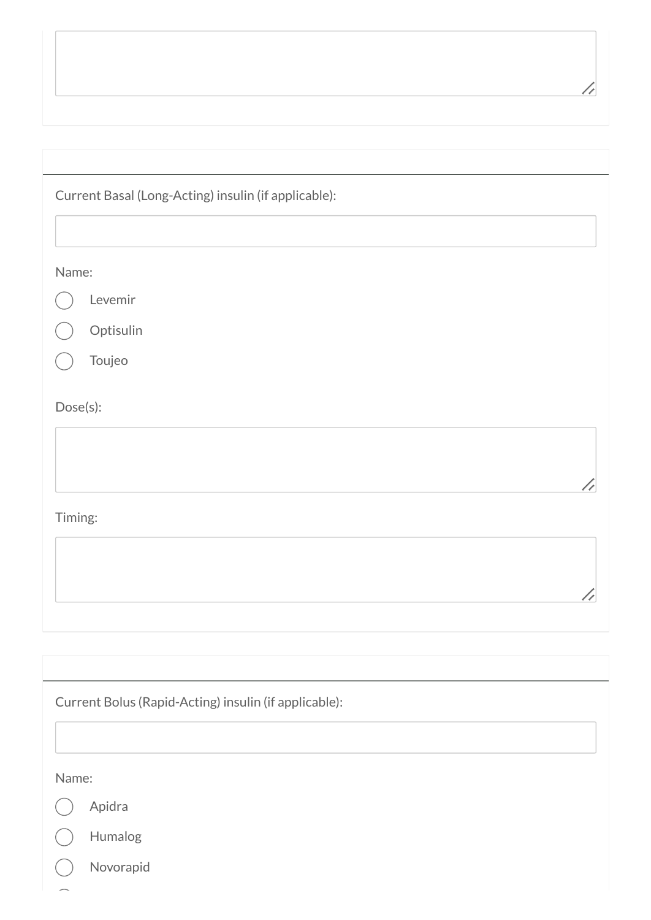| Current Basal (Long-Acting) insulin (if applicable):  |  |
|-------------------------------------------------------|--|
| Name:<br>Levemir<br>Optisulin<br>Toujeo               |  |
| Dose(s):                                              |  |
| Timing:                                               |  |
|                                                       |  |
| Current Bolus (Rapid-Acting) insulin (if applicable): |  |
| Name:<br>Apidra<br>Humalog<br>Novorapid               |  |

 $\sqrt{2}$ 

 $\overline{\phantom{0}}$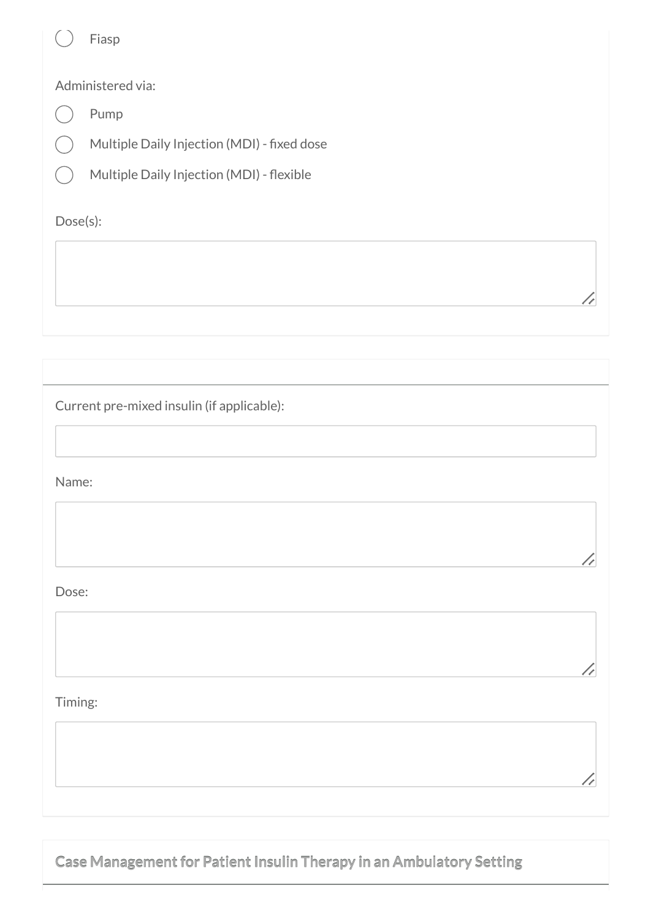|          | Fiasp                                       |
|----------|---------------------------------------------|
|          | Administered via:                           |
|          | Pump                                        |
|          | Multiple Daily Injection (MDI) - fixed dose |
|          | Multiple Daily Injection (MDI) - flexible   |
| Dose(s): |                                             |
|          |                                             |
|          |                                             |

//

//

//

Current pre-mixed insulin (if applicable):

Name:

Dose:

Timing:

**Case Management for Patient Insulin Therapy in an Ambulatory Setting**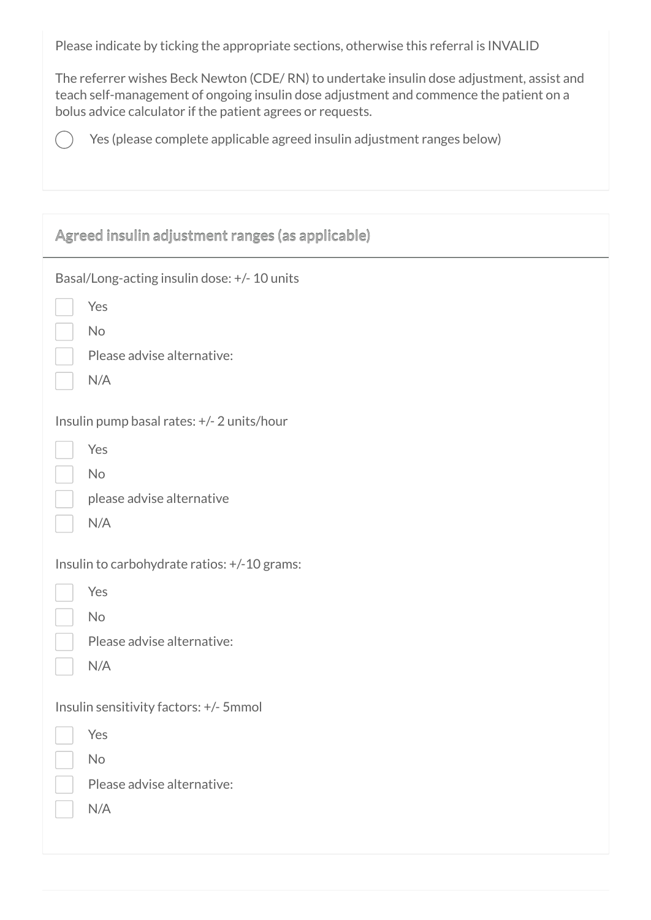Please indicate by ticking the appropriate sections, otherwise this referral is INVALID

The referrer wishes Beck Newton (CDE/ RN) to undertake insulin dose adjustment, assist and teach self-management of ongoing insulin dose adjustment and commence the patient on a bolus advice calculator if the patient agrees or requests.

Yes (please complete applicable agreed insulin adjustment ranges below)

 $($ 

| Agreed insulin adjustment ranges (as applicable)                                                      |
|-------------------------------------------------------------------------------------------------------|
| Basal/Long-acting insulin dose: +/- 10 units<br>Yes<br>No<br>Please advise alternative:<br>N/A        |
| Insulin pump basal rates: +/- 2 units/hour<br>Yes<br>No<br>please advise alternative<br>N/A           |
| Insulin to carbohydrate ratios: +/-10 grams:<br>Yes<br><b>No</b><br>Please advise alternative:<br>N/A |
| Insulin sensitivity factors: +/- 5mmol<br>Yes<br>No<br>Please advise alternative:<br>N/A              |